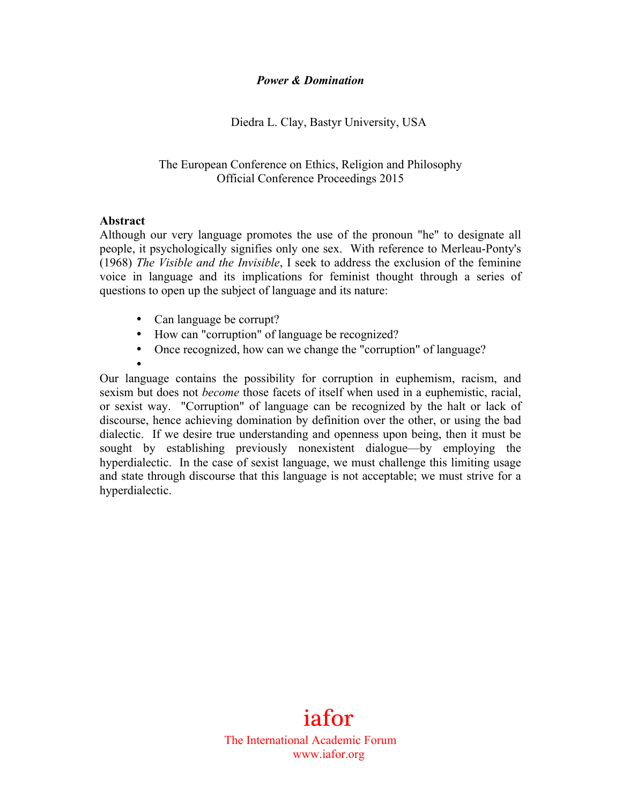### *Power & Domination*

## Diedra L. Clay, Bastyr University, USA

## The European Conference on Ethics, Religion and Philosophy Official Conference Proceedings 2015

### **Abstract**

Although our very language promotes the use of the pronoun "he" to designate all people, it psychologically signifies only one sex. With reference to Merleau-Ponty's (1968) *The Visible and the Invisible*, I seek to address the exclusion of the feminine voice in language and its implications for feminist thought through a series of questions to open up the subject of language and its nature:

- Can language be corrupt?
- How can "corruption" of language be recognized?
- Once recognized, how can we change the "corruption" of language?
- •

Our language contains the possibility for corruption in euphemism, racism, and sexism but does not *become* those facets of itself when used in a euphemistic, racial, or sexist way. "Corruption" of language can be recognized by the halt or lack of discourse, hence achieving domination by definition over the other, or using the bad dialectic. If we desire true understanding and openness upon being, then it must be sought by establishing previously nonexistent dialogue—by employing the hyperdialectic. In the case of sexist language, we must challenge this limiting usage and state through discourse that this language is not acceptable; we must strive for a hyperdialectic.

# 1 iafor

The International Academic Forum www.iafor.org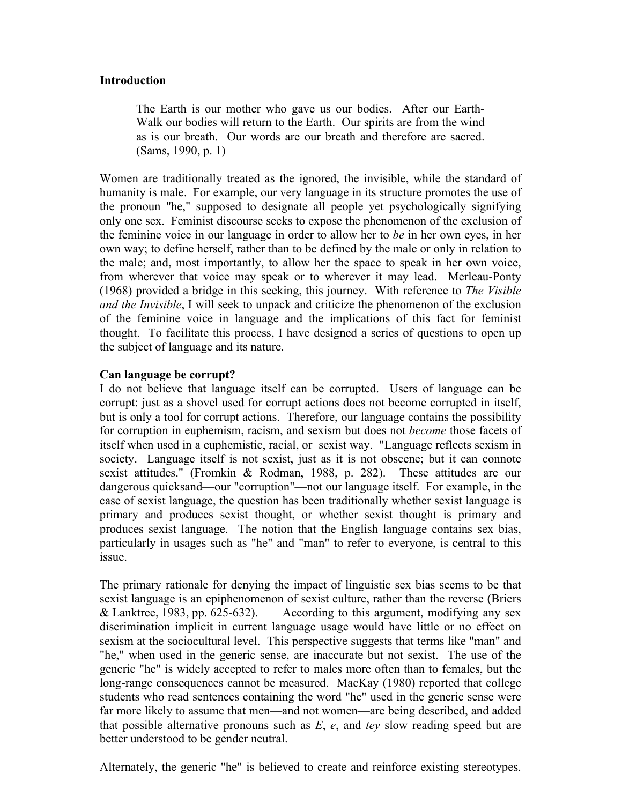#### **Introduction**

The Earth is our mother who gave us our bodies. After our Earth-Walk our bodies will return to the Earth. Our spirits are from the wind as is our breath. Our words are our breath and therefore are sacred. (Sams, 1990, p. 1)

Women are traditionally treated as the ignored, the invisible, while the standard of humanity is male. For example, our very language in its structure promotes the use of the pronoun "he," supposed to designate all people yet psychologically signifying only one sex. Feminist discourse seeks to expose the phenomenon of the exclusion of the feminine voice in our language in order to allow her to *be* in her own eyes, in her own way; to define herself, rather than to be defined by the male or only in relation to the male; and, most importantly, to allow her the space to speak in her own voice, from wherever that voice may speak or to wherever it may lead. Merleau-Ponty (1968) provided a bridge in this seeking, this journey. With reference to *The Visible and the Invisible*, I will seek to unpack and criticize the phenomenon of the exclusion of the feminine voice in language and the implications of this fact for feminist thought. To facilitate this process, I have designed a series of questions to open up the subject of language and its nature.

### **Can language be corrupt?**

I do not believe that language itself can be corrupted. Users of language can be corrupt: just as a shovel used for corrupt actions does not become corrupted in itself, but is only a tool for corrupt actions. Therefore, our language contains the possibility for corruption in euphemism, racism, and sexism but does not *become* those facets of itself when used in a euphemistic, racial, or sexist way. "Language reflects sexism in society. Language itself is not sexist, just as it is not obscene; but it can connote sexist attitudes." (Fromkin & Rodman, 1988, p. 282). These attitudes are our dangerous quicksand—our "corruption"—not our language itself. For example, in the case of sexist language, the question has been traditionally whether sexist language is primary and produces sexist thought, or whether sexist thought is primary and produces sexist language. The notion that the English language contains sex bias, particularly in usages such as "he" and "man" to refer to everyone, is central to this issue.

far more likely to assume that men—and not women—are being described, and added that possible alternative propouns such as  $F$  a and tay slow reading speed but are The primary rationale for denying the impact of linguistic sex bias seems to be that sexist language is an epiphenomenon of sexist culture, rather than the reverse (Briers & Lanktree, 1983, pp. 625-632). According to this argument, modifying any sex discrimination implicit in current language usage would have little or no effect on sexism at the sociocultural level. This perspective suggests that terms like "man" and "he," when used in the generic sense, are inaccurate but not sexist. The use of the generic "he" is widely accepted to refer to males more often than to females, but the long-range consequences cannot be measured. MacKay (1980) reported that college students who read sentences containing the word "he" used in the generic sense were that possible alternative pronouns such as *E*, *e*, and *tey* slow reading speed but are better understood to be gender neutral.

Alternately, the generic "he" is believed to create and reinforce existing stereotypes.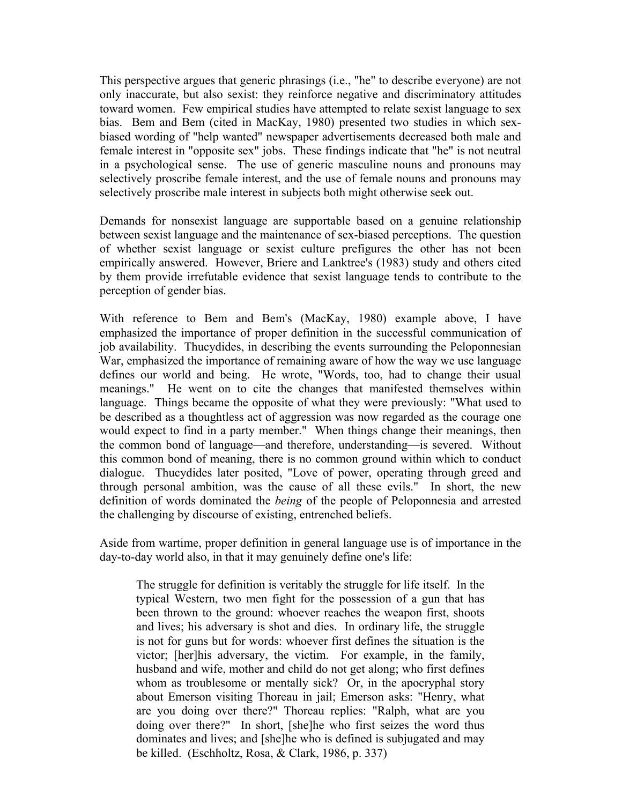This perspective argues that generic phrasings (i.e., "he" to describe everyone) are not only inaccurate, but also sexist: they reinforce negative and discriminatory attitudes toward women. Few empirical studies have attempted to relate sexist language to sex bias. Bem and Bem (cited in MacKay, 1980) presented two studies in which sexbiased wording of "help wanted" newspaper advertisements decreased both male and female interest in "opposite sex" jobs. These findings indicate that "he" is not neutral in a psychological sense. The use of generic masculine nouns and pronouns may selectively proscribe female interest, and the use of female nouns and pronouns may selectively proscribe male interest in subjects both might otherwise seek out.

Demands for nonsexist language are supportable based on a genuine relationship between sexist language and the maintenance of sex-biased perceptions. The question of whether sexist language or sexist culture prefigures the other has not been empirically answered. However, Briere and Lanktree's (1983) study and others cited by them provide irrefutable evidence that sexist language tends to contribute to the perception of gender bias.

With reference to Bem and Bem's (MacKay, 1980) example above, I have emphasized the importance of proper definition in the successful communication of job availability. Thucydides, in describing the events surrounding the Peloponnesian War, emphasized the importance of remaining aware of how the way we use language defines our world and being. He wrote, "Words, too, had to change their usual meanings." He went on to cite the changes that manifested themselves within language. Things became the opposite of what they were previously: "What used to be described as a thoughtless act of aggression was now regarded as the courage one would expect to find in a party member." When things change their meanings, then the common bond of language—and therefore, understanding—is severed. Without this common bond of meaning, there is no common ground within which to conduct dialogue. Thucydides later posited, "Love of power, operating through greed and through personal ambition, was the cause of all these evils." In short, the new definition of words dominated the *being* of the people of Peloponnesia and arrested the challenging by discourse of existing, entrenched beliefs.

Aside from wartime, proper definition in general language use is of importance in the day-to-day world also, in that it may genuinely define one's life:

are you doing over there?" Thoreau replies: "Ralph, what are you<br>doing over there?" In short [shelbe who first seizes the word thus The struggle for definition is veritably the struggle for life itself. In the typical Western, two men fight for the possession of a gun that has been thrown to the ground: whoever reaches the weapon first, shoots and lives; his adversary is shot and dies. In ordinary life, the struggle is not for guns but for words: whoever first defines the situation is the victor; [her]his adversary, the victim. For example, in the family, husband and wife, mother and child do not get along; who first defines whom as troublesome or mentally sick? Or, in the apocryphal story about Emerson visiting Thoreau in jail; Emerson asks: "Henry, what doing over there?" In short, [she]he who first seizes the word thus dominates and lives; and [she]he who is defined is subjugated and may be killed. (Eschholtz, Rosa, & Clark, 1986, p. 337)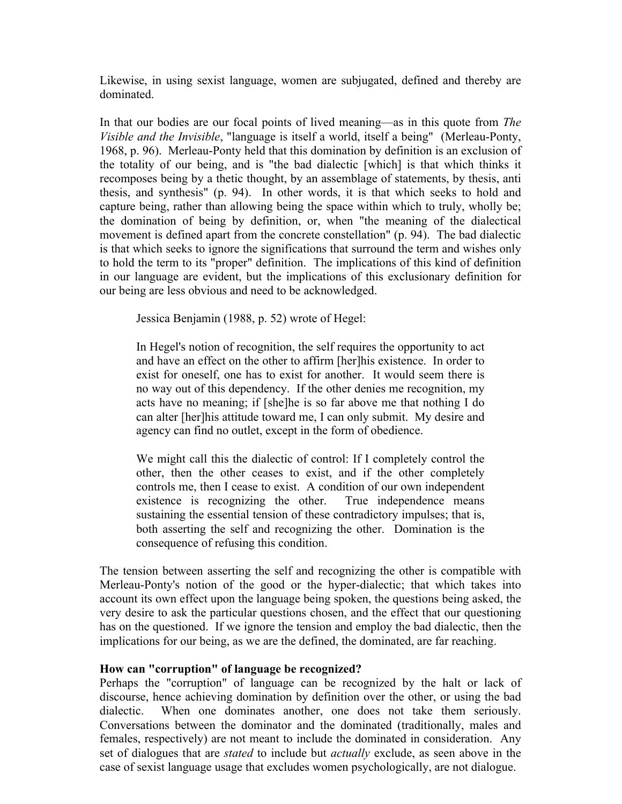Likewise, in using sexist language, women are subjugated, defined and thereby are dominated.

In that our bodies are our focal points of lived meaning—as in this quote from *The Visible and the Invisible*, "language is itself a world, itself a being" (Merleau-Ponty, 1968, p. 96). Merleau-Ponty held that this domination by definition is an exclusion of the totality of our being, and is "the bad dialectic [which] is that which thinks it recomposes being by a thetic thought, by an assemblage of statements, by thesis, anti thesis, and synthesis" (p. 94). In other words, it is that which seeks to hold and capture being, rather than allowing being the space within which to truly, wholly be; the domination of being by definition, or, when "the meaning of the dialectical movement is defined apart from the concrete constellation" (p. 94). The bad dialectic is that which seeks to ignore the significations that surround the term and wishes only to hold the term to its "proper" definition. The implications of this kind of definition in our language are evident, but the implications of this exclusionary definition for our being are less obvious and need to be acknowledged.

Jessica Benjamin (1988, p. 52) wrote of Hegel:

In Hegel's notion of recognition, the self requires the opportunity to act and have an effect on the other to affirm [her]his existence. In order to exist for oneself, one has to exist for another. It would seem there is no way out of this dependency. If the other denies me recognition, my acts have no meaning; if [she]he is so far above me that nothing I do can alter [her]his attitude toward me, I can only submit. My desire and agency can find no outlet, except in the form of obedience.

We might call this the dialectic of control: If I completely control the other, then the other ceases to exist, and if the other completely controls me, then I cease to exist. A condition of our own independent existence is recognizing the other. True independence means sustaining the essential tension of these contradictory impulses; that is, both asserting the self and recognizing the other. Domination is the consequence of refusing this condition.

The tension between asserting the self and recognizing the other is compatible with Merleau-Ponty's notion of the good or the hyper-dialectic; that which takes into account its own effect upon the language being spoken, the questions being asked, the very desire to ask the particular questions chosen, and the effect that our questioning has on the questioned. If we ignore the tension and employ the bad dialectic, then the implications for our being, as we are the defined, the dominated, are far reaching.

#### **How can "corruption" of language be recognized?**

dialectic. When one dominates another, one does not take them seriously.<br>Conversations between the dominator and the dominated (traditionally males and Perhaps the "corruption" of language can be recognized by the halt or lack of discourse, hence achieving domination by definition over the other, or using the bad Conversations between the dominator and the dominated (traditionally, males and females, respectively) are not meant to include the dominated in consideration. Any set of dialogues that are *stated* to include but *actually* exclude, as seen above in the case of sexist language usage that excludes women psychologically, are not dialogue.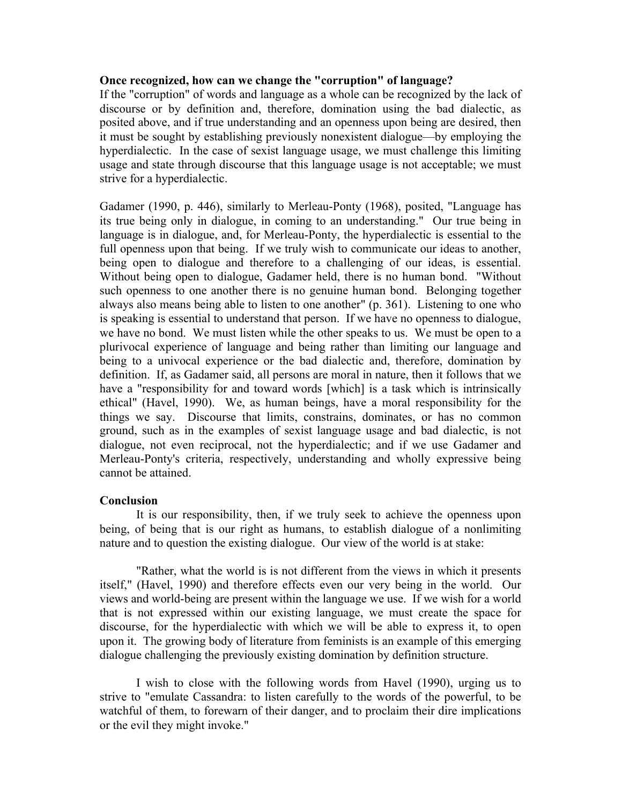### **Once recognized, how can we change the "corruption" of language?**

If the "corruption" of words and language as a whole can be recognized by the lack of discourse or by definition and, therefore, domination using the bad dialectic, as posited above, and if true understanding and an openness upon being are desired, then it must be sought by establishing previously nonexistent dialogue—by employing the hyperdialectic. In the case of sexist language usage, we must challenge this limiting usage and state through discourse that this language usage is not acceptable; we must strive for a hyperdialectic.

Gadamer (1990, p. 446), similarly to Merleau-Ponty (1968), posited, "Language has its true being only in dialogue, in coming to an understanding." Our true being in language is in dialogue, and, for Merleau-Ponty, the hyperdialectic is essential to the full openness upon that being. If we truly wish to communicate our ideas to another, being open to dialogue and therefore to a challenging of our ideas, is essential. Without being open to dialogue, Gadamer held, there is no human bond. "Without such openness to one another there is no genuine human bond. Belonging together always also means being able to listen to one another" (p. 361). Listening to one who is speaking is essential to understand that person. If we have no openness to dialogue, we have no bond. We must listen while the other speaks to us. We must be open to a plurivocal experience of language and being rather than limiting our language and being to a univocal experience or the bad dialectic and, therefore, domination by definition. If, as Gadamer said, all persons are moral in nature, then it follows that we have a "responsibility for and toward words [which] is a task which is intrinsically ethical" (Havel, 1990). We, as human beings, have a moral responsibility for the things we say. Discourse that limits, constrains, dominates, or has no common ground, such as in the examples of sexist language usage and bad dialectic, is not dialogue, not even reciprocal, not the hyperdialectic; and if we use Gadamer and Merleau-Ponty's criteria, respectively, understanding and wholly expressive being cannot be attained.

### **Conclusion**

It is our responsibility, then, if we truly seek to achieve the openness upon being, of being that is our right as humans, to establish dialogue of a nonlimiting nature and to question the existing dialogue. Our view of the world is at stake:

"Rather, what the world is is not different from the views in which it presents itself," (Havel, 1990) and therefore effects even our very being in the world. Our views and world-being are present within the language we use. If we wish for a world that is not expressed within our existing language, we must create the space for discourse, for the hyperdialectic with which we will be able to express it, to open upon it. The growing body of literature from feminists is an example of this emerging dialogue challenging the previously existing domination by definition structure.

watchful of them, to forewarn of their danger, and to proclaim their dire implications<br>or the evil they might invoke " I wish to close with the following words from Havel (1990), urging us to strive to "emulate Cassandra: to listen carefully to the words of the powerful, to be or the evil they might invoke."